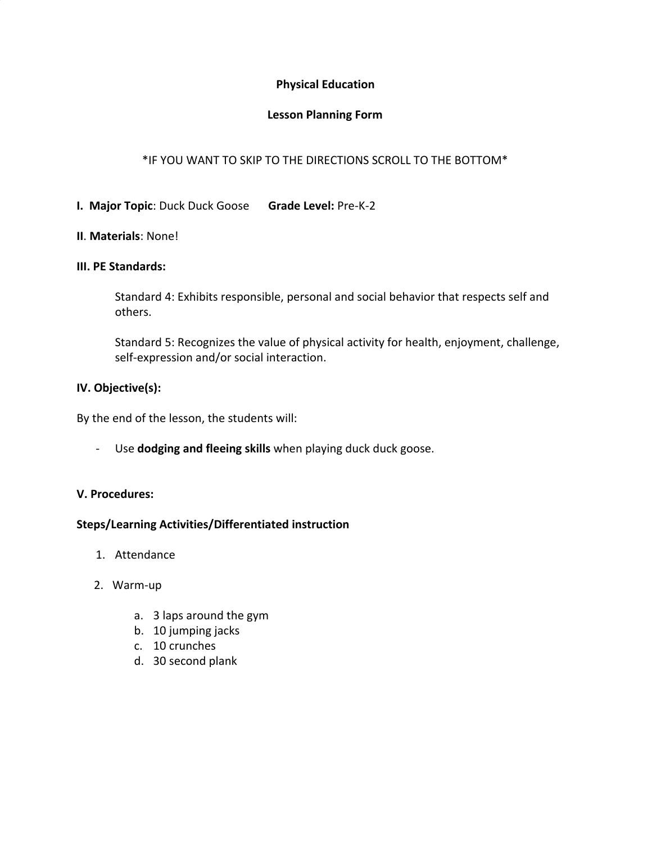# **Physical Education**

# **Lesson Planning Form**

# \*IF YOU WANT TO SKIP TO THE DIRECTIONS SCROLL TO THE BOTTOM\*

# **I. Major Topic**: Duck Duck Goose **Grade Level:** Pre-K-2

### **II**. **Materials**: None!

#### **III. PE Standards:**

Standard 4: Exhibits responsible, personal and social behavior that respects self and others.

Standard 5: Recognizes the value of physical activity for health, enjoyment, challenge, self-expression and/or social interaction.

#### **IV. Objective(s):**

By the end of the lesson, the students will:

- Use **dodging and fleeing skills** when playing duck duck goose.

#### **V. Procedures:**

#### **Steps/Learning Activities/Differentiated instruction**

- 1. Attendance
- 2. Warm-up
	- a. 3 laps around the gym
	- b. 10 jumping jacks
	- c. 10 crunches
	- d. 30 second plank